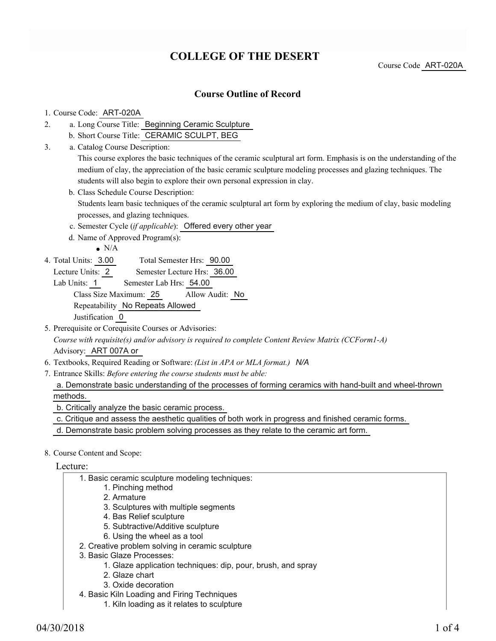# **COLLEGE OF THE DESERT**

Course Code ART-020A

### **Course Outline of Record**

#### 1. Course Code: ART-020A

- a. Long Course Title: Beginning Ceramic Sculpture 2.
	- b. Short Course Title: CERAMIC SCULPT, BEG
- Catalog Course Description: a. 3.

This course explores the basic techniques of the ceramic sculptural art form. Emphasis is on the understanding of the medium of clay, the appreciation of the basic ceramic sculpture modeling processes and glazing techniques. The students will also begin to explore their own personal expression in clay.

- b. Class Schedule Course Description: Students learn basic techniques of the ceramic sculptural art form by exploring the medium of clay, basic modeling processes, and glazing techniques.
- c. Semester Cycle (*if applicable*): Offered every other year
- d. Name of Approved Program(s):
	- $\bullet$  N/A
- Total Semester Hrs: 90.00 4. Total Units: 3.00
	- Lecture Units: 2 Semester Lecture Hrs: 36.00
	- Lab Units: 1 Semester Lab Hrs: 54.00 Class Size Maximum: 25 Allow Audit: No Repeatability No Repeats Allowed Justification 0
- 5. Prerequisite or Corequisite Courses or Advisories: *Course with requisite(s) and/or advisory is required to complete Content Review Matrix (CCForm1-A)* Advisory: ART 007A or
- 6. Textbooks, Required Reading or Software: *(List in APA or MLA format.) N/A*
- Entrance Skills: *Before entering the course students must be able:* 7.

a. Demonstrate basic understanding of the processes of forming ceramics with hand-built and wheel-thrown methods.

b. Critically analyze the basic ceramic process.

c. Critique and assess the aesthetic qualities of both work in progress and finished ceramic forms.

- d. Demonstrate basic problem solving processes as they relate to the ceramic art form.
- 8. Course Content and Scope:

Lecture:

- 1. Basic ceramic sculpture modeling techniques:
	- 1. Pinching method
		- 2. Armature
		- 3. Sculptures with multiple segments
		- 4. Bas Relief sculpture
		- 5. Subtractive/Additive sculpture
	- 6. Using the wheel as a tool
- 2. Creative problem solving in ceramic sculpture
- 3. Basic Glaze Processes:
	- 1. Glaze application techniques: dip, pour, brush, and spray
	- 2. Glaze chart
	- 3. Oxide decoration
- 4. Basic Kiln Loading and Firing Techniques
	- 1. Kiln loading as it relates to sculpture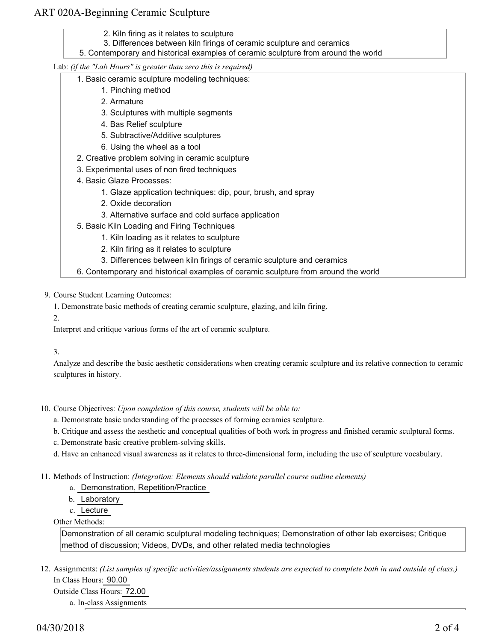### ART 020A-Beginning Ceramic Sculpture

- 2. Kiln firing as it relates to sculpture
- 3. Differences between kiln firings of ceramic sculpture and ceramics
- 5. Contemporary and historical examples of ceramic sculpture from around the world

Lab: *(if the "Lab Hours" is greater than zero this is required)*

- 1. Basic ceramic sculpture modeling techniques:
	- 1. Pinching method
	- 2. Armature
	- 3. Sculptures with multiple segments
	- 4. Bas Relief sculpture
	- 5. Subtractive/Additive sculptures
	- 6. Using the wheel as a tool
- 2. Creative problem solving in ceramic sculpture
- 3. Experimental uses of non fired techniques
- 4. Basic Glaze Processes:
	- 1. Glaze application techniques: dip, pour, brush, and spray
	- 2. Oxide decoration
	- 3. Alternative surface and cold surface application
- 5. Basic Kiln Loading and Firing Techniques
	- 1. Kiln loading as it relates to sculpture
	- 2. Kiln firing as it relates to sculpture
	- 3. Differences between kiln firings of ceramic sculpture and ceramics
- 6. Contemporary and historical examples of ceramic sculpture from around the world
- 9. Course Student Learning Outcomes:
	- 1. Demonstrate basic methods of creating ceramic sculpture, glazing, and kiln firing.
	- 2.

Interpret and critique various forms of the art of ceramic sculpture.

3.

Analyze and describe the basic aesthetic considerations when creating ceramic sculpture and its relative connection to ceramic sculptures in history.

- 10. Course Objectives: Upon completion of this course, students will be able to:
	- a. Demonstrate basic understanding of the processes of forming ceramics sculpture.
	- b. Critique and assess the aesthetic and conceptual qualities of both work in progress and finished ceramic sculptural forms.
	- c. Demonstrate basic creative problem-solving skills.
	- d. Have an enhanced visual awareness as it relates to three-dimensional form, including the use of sculpture vocabulary.
- 11. Methods of Instruction: *(Integration: Elements should validate parallel course outline elements)* 
	- a. Demonstration, Repetition/Practice
	- b. Laboratory
	- c. Lecture

Other Methods:

Demonstration of all ceramic sculptural modeling techniques; Demonstration of other lab exercises; Critique method of discussion; Videos, DVDs, and other related media technologies

12. Assignments: (List samples of specific activities/assignments students are expected to complete both in and outside of class.) In Class Hours: 90.00

Outside Class Hours: 72.00

a. In-class Assignments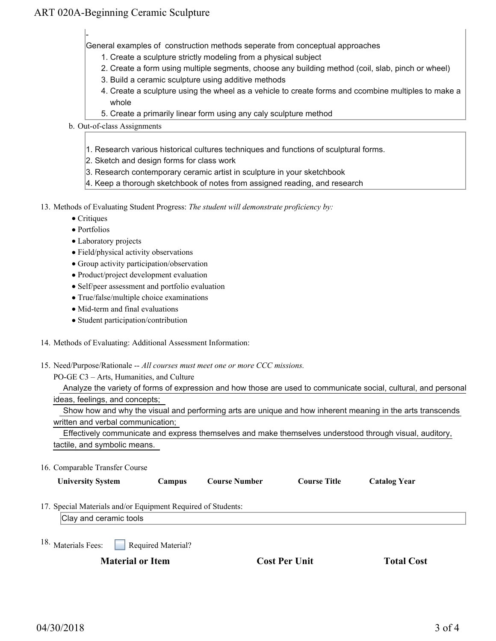## ART 020A-Beginning Ceramic Sculpture

-

General examples of construction methods seperate from conceptual approaches

- 1. Create a sculpture strictly modeling from a physical subject
- 2. Create a form using multiple segments, choose any building method (coil, slab, pinch or wheel)
- 3. Build a ceramic sculpture using additive methods
- 4. Create a sculpture using the wheel as a vehicle to create forms and ccombine multiples to make a whole
- 5. Create a primarily linear form using any caly sculpture method
- b. Out-of-class Assignments
	- 1. Research various historical cultures techniques and functions of sculptural forms.
	- 2. Sketch and design forms for class work
	- 3. Research contemporary ceramic artist in sculpture in your sketchbook
	- 4. Keep a thorough sketchbook of notes from assigned reading, and research
- 13. Methods of Evaluating Student Progress: The student will demonstrate proficiency by:
	- Critiques
	- Portfolios
	- Laboratory projects
	- Field/physical activity observations
	- Group activity participation/observation
	- Product/project development evaluation
	- Self/peer assessment and portfolio evaluation
	- True/false/multiple choice examinations
	- Mid-term and final evaluations
	- Student participation/contribution
- 14. Methods of Evaluating: Additional Assessment Information:
- 15. Need/Purpose/Rationale -- All courses must meet one or more CCC missions.
	- PO-GE C3 Arts, Humanities, and Culture

| Analyze the variety of forms of expression and how those are used to communicate social, cultural, and personal |  |  |  |  |
|-----------------------------------------------------------------------------------------------------------------|--|--|--|--|
| ideas, feelings, and concepts;                                                                                  |  |  |  |  |

| Show how and why the visual and performing arts are unique and how inherent meaning in the arts transcends |  |  |  |
|------------------------------------------------------------------------------------------------------------|--|--|--|
| written and verbal communication:                                                                          |  |  |  |

| Effectively communicate and express themselves and make themselves understood through visual, auditory, |  |
|---------------------------------------------------------------------------------------------------------|--|
| tactile, and symbolic means.                                                                            |  |

16. Comparable Transfer Course

17. Special Materials and/or Equipment Required of Students:

Clay and ceramic tools

Required Material? <sup>18.</sup> Materials Fees:

**Material or Item Cost Per Unit Total Cost Cost Per Unit Cost** 

| <b>Cost Per Unit</b> |  |  |
|----------------------|--|--|
|----------------------|--|--|